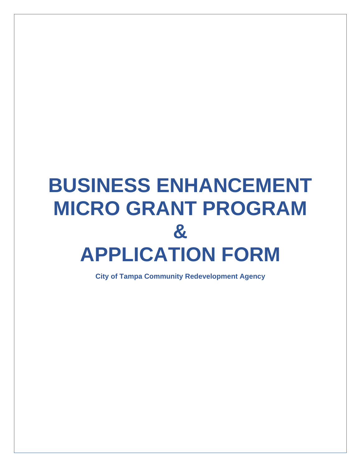# **BUSINESS ENHANCEMENT MICRO GRANT PROGRAM & APPLICATION FORM**

**City of Tampa Community Redevelopment Agency**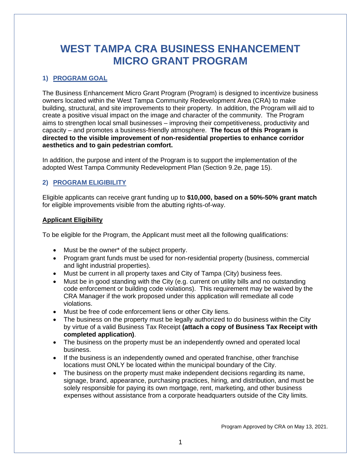## **WEST TAMPA CRA BUSINESS ENHANCEMENT MICRO GRANT PROGRAM**

#### **1) PROGRAM GOAL**

The Business Enhancement Micro Grant Program (Program) is designed to incentivize business owners located within the West Tampa Community Redevelopment Area (CRA) to make building, structural, and site improvements to their property. In addition, the Program will aid to create a positive visual impact on the image and character of the community. The Program aims to strengthen local small businesses – improving their competitiveness, productivity and capacity – and promotes a business-friendly atmosphere. **The focus of this Program is directed to the visible improvement of non-residential properties to enhance corridor aesthetics and to gain pedestrian comfort.**

In addition, the purpose and intent of the Program is to support the implementation of the adopted West Tampa Community Redevelopment Plan (Section 9.2e, page 15).

#### **2) PROGRAM ELIGIBILITY**

Eligible applicants can receive grant funding up to **\$10,000, based on a 50%-50% grant match** for eligible improvements visible from the abutting rights-of-way.

#### **Applicant Eligibility**

To be eligible for the Program, the Applicant must meet all the following qualifications:

- Must be the owner\* of the subject property.
- Program grant funds must be used for non-residential property (business, commercial and light industrial properties).
- Must be current in all property taxes and City of Tampa (City) business fees.
- Must be in good standing with the City (e.g. current on utility bills and no outstanding code enforcement or building code violations). This requirement may be waived by the CRA Manager if the work proposed under this application will remediate all code violations.
- Must be free of code enforcement liens or other City liens.
- The business on the property must be legally authorized to do business within the City by virtue of a valid Business Tax Receipt **(attach a copy of Business Tax Receipt with completed application)**.
- The business on the property must be an independently owned and operated local business.
- If the business is an independently owned and operated franchise, other franchise locations must ONLY be located within the municipal boundary of the City.
- The business on the property must make independent decisions regarding its name, signage, brand, appearance, purchasing practices, hiring, and distribution, and must be solely responsible for paying its own mortgage, rent, marketing, and other business expenses without assistance from a corporate headquarters outside of the City limits.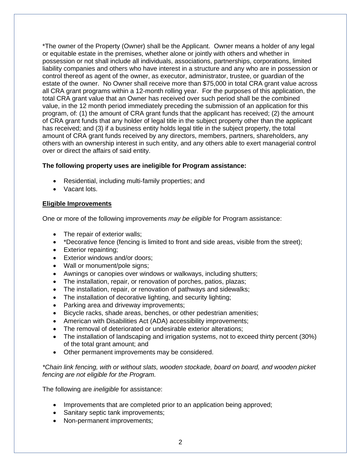\*The owner of the Property (Owner) shall be the Applicant. Owner means a holder of any legal or equitable estate in the premises, whether alone or jointly with others and whether in possession or not shall include all individuals, associations, partnerships, corporations, limited liability companies and others who have interest in a structure and any who are in possession or control thereof as agent of the owner, as executor, administrator, trustee, or guardian of the estate of the owner. No Owner shall receive more than \$75,000 in total CRA grant value across all CRA grant programs within a 12-month rolling year. For the purposes of this application, the total CRA grant value that an Owner has received over such period shall be the combined value, in the 12 month period immediately preceding the submission of an application for this program, of: (1) the amount of CRA grant funds that the applicant has received; (2) the amount of CRA grant funds that any holder of legal title in the subject property other than the applicant has received; and (3) if a business entity holds legal title in the subject property, the total amount of CRA grant funds received by any directors, members, partners, shareholders, any others with an ownership interest in such entity, and any others able to exert managerial control over or direct the affairs of said entity.

#### **The following property uses are ineligible for Program assistance:**

- Residential, including multi-family properties; and
- Vacant lots.

#### **Eligible Improvements**

One or more of the following improvements *may be eligible* for Program assistance:

- The repair of exterior walls;
- \*Decorative fence (fencing is limited to front and side areas, visible from the street);
- Exterior repainting;
- Exterior windows and/or doors:
- Wall or monument/pole signs;
- Awnings or canopies over windows or walkways, including shutters;
- The installation, repair, or renovation of porches, patios, plazas;
- The installation, repair, or renovation of pathways and sidewalks;
- The installation of decorative lighting, and security lighting;
- Parking area and driveway improvements;
- Bicycle racks, shade areas, benches, or other pedestrian amenities;
- American with Disabilities Act (ADA) accessibility improvements;
- The removal of deteriorated or undesirable exterior alterations;
- The installation of landscaping and irrigation systems, not to exceed thirty percent (30%) of the total grant amount; and
- Other permanent improvements may be considered.

*\*Chain link fencing, with or without slats, wooden stockade, board on board, and wooden picket fencing are not eligible for the Program.*

The following are *ineligible* for assistance:

- Improvements that are completed prior to an application being approved;
- Sanitary septic tank improvements:
- Non-permanent improvements: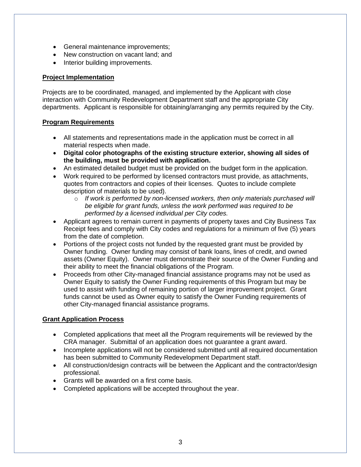- General maintenance improvements;
- New construction on vacant land; and
- Interior building improvements.

#### **Project Implementation**

Projects are to be coordinated, managed, and implemented by the Applicant with close interaction with Community Redevelopment Department staff and the appropriate City departments. Applicant is responsible for obtaining/arranging any permits required by the City.

#### **Program Requirements**

- All statements and representations made in the application must be correct in all material respects when made.
- **Digital color photographs of the existing structure exterior, showing all sides of the building, must be provided with application.**
- An estimated detailed budget must be provided on the budget form in the application.
- Work required to be performed by licensed contractors must provide, as attachments, quotes from contractors and copies of their licenses. Quotes to include complete description of materials to be used).
	- o *If work is performed by non-licensed workers, then only materials purchased will be eligible for grant funds, unless the work performed was required to be performed by a licensed individual per City codes.*
- Applicant agrees to remain current in payments of property taxes and City Business Tax Receipt fees and comply with City codes and regulations for a minimum of five (5) years from the date of completion.
- Portions of the project costs not funded by the requested grant must be provided by Owner funding. Owner funding may consist of bank loans, lines of credit, and owned assets (Owner Equity). Owner must demonstrate their source of the Owner Funding and their ability to meet the financial obligations of the Program.
- Proceeds from other City-managed financial assistance programs may not be used as Owner Equity to satisfy the Owner Funding requirements of this Program but may be used to assist with funding of remaining portion of larger improvement project. Grant funds cannot be used as Owner equity to satisfy the Owner Funding requirements of other City-managed financial assistance programs.

#### **Grant Application Process**

- Completed applications that meet all the Program requirements will be reviewed by the CRA manager. Submittal of an application does not guarantee a grant award.
- Incomplete applications will not be considered submitted until all required documentation has been submitted to Community Redevelopment Department staff.
- All construction/design contracts will be between the Applicant and the contractor/design professional.
- Grants will be awarded on a first come basis.
- Completed applications will be accepted throughout the year.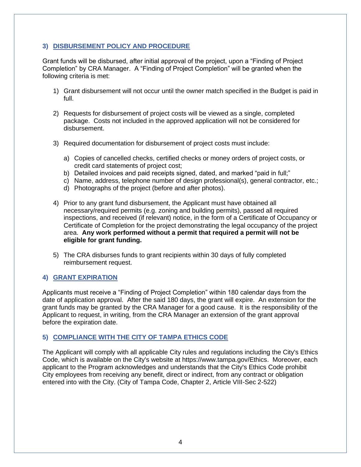#### **3) DISBURSEMENT POLICY AND PROCEDURE**

Grant funds will be disbursed, after initial approval of the project, upon a "Finding of Project Completion" by CRA Manager. A "Finding of Project Completion" will be granted when the following criteria is met:

- 1) Grant disbursement will not occur until the owner match specified in the Budget is paid in full.
- 2) Requests for disbursement of project costs will be viewed as a single, completed package. Costs not included in the approved application will not be considered for disbursement.
- 3) Required documentation for disbursement of project costs must include:
	- a) Copies of cancelled checks, certified checks or money orders of project costs, or credit card statements of project cost;
	- b) Detailed invoices and paid receipts signed, dated, and marked "paid in full;"
	- c) Name, address, telephone number of design professional(s), general contractor, etc.;
	- d) Photographs of the project (before and after photos).
- 4) Prior to any grant fund disbursement, the Applicant must have obtained all necessary/required permits (e.g. zoning and building permits), passed all required inspections, and received (if relevant) notice, in the form of a Certificate of Occupancy or Certificate of Completion for the project demonstrating the legal occupancy of the project area. **Any work performed without a permit that required a permit will not be eligible for grant funding.**
- 5) The CRA disburses funds to grant recipients within 30 days of fully completed reimbursement request.

#### **4) GRANT EXPIRATION**

Applicants must receive a "Finding of Project Completion" within 180 calendar days from the date of application approval. After the said 180 days, the grant will expire. An extension for the grant funds may be granted by the CRA Manager for a good cause. It is the responsibility of the Applicant to request, in writing, from the CRA Manager an extension of the grant approval before the expiration date.

#### **5) COMPLIANCE WITH THE CITY OF TAMPA ETHICS CODE**

The Applicant will comply with all applicable City rules and regulations including the City's Ethics Code, which is available on the City's website at https://www.tampa.gov/Ethics. Moreover, each applicant to the Program acknowledges and understands that the City's Ethics Code prohibit City employees from receiving any benefit, direct or indirect, from any contract or obligation entered into with the City. (City of Tampa Code, Chapter 2, Article VIII-Sec 2-522)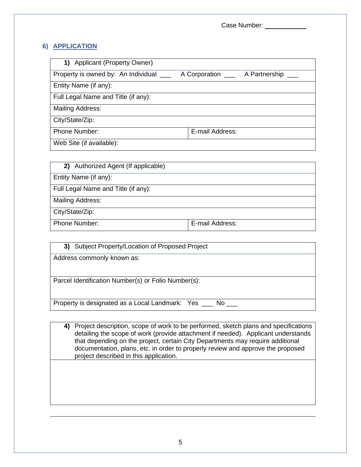Case Number: \_\_\_\_\_\_\_\_\_\_\_

#### **6) APPLICATION**

| 1) Applicant (Property Owner)       |                                         |
|-------------------------------------|-----------------------------------------|
| Property is owned by: An Individual | A Corporation ______ A Partnership ____ |
| Entity Name (if any):               |                                         |
| Full Legal Name and Title (if any): |                                         |
| Mailing Address:                    |                                         |
| City/State/Zip:                     |                                         |
| <b>Phone Number:</b>                | E-mail Address:                         |
| Web Site (if available):            |                                         |

| 2) Authorized Agent (If applicable) |                 |  |
|-------------------------------------|-----------------|--|
| Entity Name (if any):               |                 |  |
| Full Legal Name and Title (if any): |                 |  |
| Mailing Address:                    |                 |  |
| City/State/Zip:                     |                 |  |
| <b>Phone Number:</b>                | E-mail Address: |  |

| 3) Subject Property/Location of Proposed Project         |
|----------------------------------------------------------|
| Address commonly known as:                               |
|                                                          |
| Parcel Identification Number(s) or Folio Number(s):      |
|                                                          |
| Property is designated as a Local Landmark: Yes __ No __ |
|                                                          |

**4)** Project description, scope of work to be performed, sketch plans and specifications detailing the scope of work (provide attachment if needed). Applicant understands that depending on the project, certain City Departments may require additional documentation, plans, etc. in order to properly review and approve the proposed project described in this application.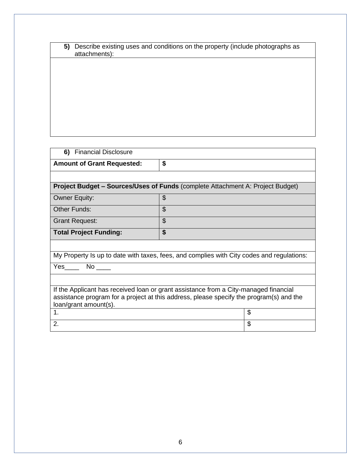| 5) Describe existing uses and conditions on the property (include photographs as |
|----------------------------------------------------------------------------------|
| attachments):                                                                    |

| 6) Financial Disclosure                                                                                                                                                                                  |                           |    |
|----------------------------------------------------------------------------------------------------------------------------------------------------------------------------------------------------------|---------------------------|----|
| <b>Amount of Grant Requested:</b>                                                                                                                                                                        | \$                        |    |
|                                                                                                                                                                                                          |                           |    |
| <b>Project Budget – Sources/Uses of Funds</b> (complete Attachment A: Project Budget)                                                                                                                    |                           |    |
| <b>Owner Equity:</b>                                                                                                                                                                                     | \$                        |    |
| Other Funds:                                                                                                                                                                                             | $\boldsymbol{\mathsf{S}}$ |    |
| <b>Grant Request:</b>                                                                                                                                                                                    | \$                        |    |
| <b>Total Project Funding:</b>                                                                                                                                                                            | \$                        |    |
|                                                                                                                                                                                                          |                           |    |
| My Property Is up to date with taxes, fees, and complies with City codes and regulations:                                                                                                                |                           |    |
| Yes________ No _____                                                                                                                                                                                     |                           |    |
|                                                                                                                                                                                                          |                           |    |
| If the Applicant has received loan or grant assistance from a City-managed financial<br>assistance program for a project at this address, please specify the program(s) and the<br>loan/grant amount(s). |                           |    |
| 1.                                                                                                                                                                                                       |                           | \$ |
| 2.                                                                                                                                                                                                       |                           | \$ |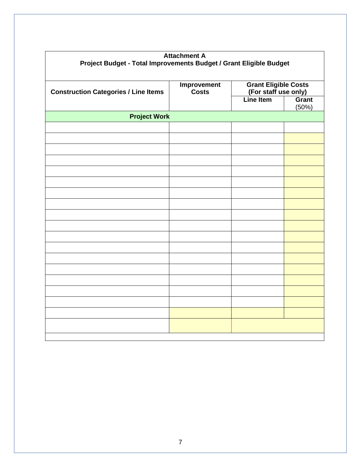| <b>Attachment A</b><br>Project Budget - Total Improvements Budget / Grant Eligible Budget |                                    |                                                     |                |
|-------------------------------------------------------------------------------------------|------------------------------------|-----------------------------------------------------|----------------|
| <b>Construction Categories / Line Items</b>                                               | <b>Improvement</b><br><b>Costs</b> | <b>Grant Eligible Costs</b><br>(For staff use only) |                |
|                                                                                           |                                    | <b>Line Item</b>                                    | Grant<br>(50%) |
| <b>Project Work</b>                                                                       |                                    |                                                     |                |
|                                                                                           |                                    |                                                     |                |
|                                                                                           |                                    |                                                     |                |
|                                                                                           |                                    |                                                     |                |
|                                                                                           |                                    |                                                     |                |
|                                                                                           |                                    |                                                     |                |
|                                                                                           |                                    |                                                     |                |
|                                                                                           |                                    |                                                     |                |
|                                                                                           |                                    |                                                     |                |
|                                                                                           |                                    |                                                     |                |
|                                                                                           |                                    |                                                     |                |
|                                                                                           |                                    |                                                     |                |
|                                                                                           |                                    |                                                     |                |
|                                                                                           |                                    |                                                     |                |
|                                                                                           |                                    |                                                     |                |
|                                                                                           |                                    |                                                     |                |
|                                                                                           |                                    |                                                     |                |
|                                                                                           |                                    |                                                     |                |
|                                                                                           |                                    |                                                     |                |
|                                                                                           |                                    |                                                     |                |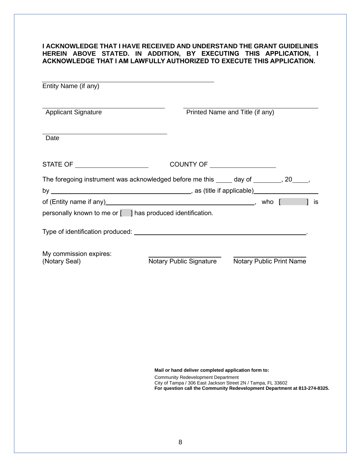#### **I ACKNOWLEDGE THAT I HAVE RECEIVED AND UNDERSTAND THE GRANT GUIDELINES HEREIN ABOVE STATED. IN ADDITION, BY EXECUTING THIS APPLICATION, I ACKNOWLEDGE THAT I AM LAWFULLY AUTHORIZED TO EXECUTE THIS APPLICATION.**

| Entity Name (if any)                                                                   |                                      |                                 |  |
|----------------------------------------------------------------------------------------|--------------------------------------|---------------------------------|--|
| <b>Applicant Signature</b>                                                             |                                      | Printed Name and Title (if any) |  |
| Date                                                                                   |                                      |                                 |  |
| STATE OF ______________________                                                        | COUNTY OF <u>___________________</u> |                                 |  |
| The foregoing instrument was acknowledged before me this _____ day of _______, 20____, |                                      |                                 |  |
|                                                                                        |                                      |                                 |  |
| of (Entity name if any <u>)                        </u> , who [                        |                                      | is                              |  |
| personally known to me or [ ] has produced identification.                             |                                      |                                 |  |
|                                                                                        |                                      |                                 |  |
| My commission expires:<br>(Notary Seal)                                                | Notary Public Signature              | <b>Notary Public Print Name</b> |  |
|                                                                                        |                                      |                                 |  |
|                                                                                        |                                      |                                 |  |
|                                                                                        |                                      |                                 |  |
|                                                                                        |                                      |                                 |  |

**Mail or hand deliver completed application form to:**

Community Redevelopment Department City of Tampa / 306 East Jackson Street 2N / Tampa, FL 33602 **For question call the Community Redevelopment Department at 813-274-8325.**